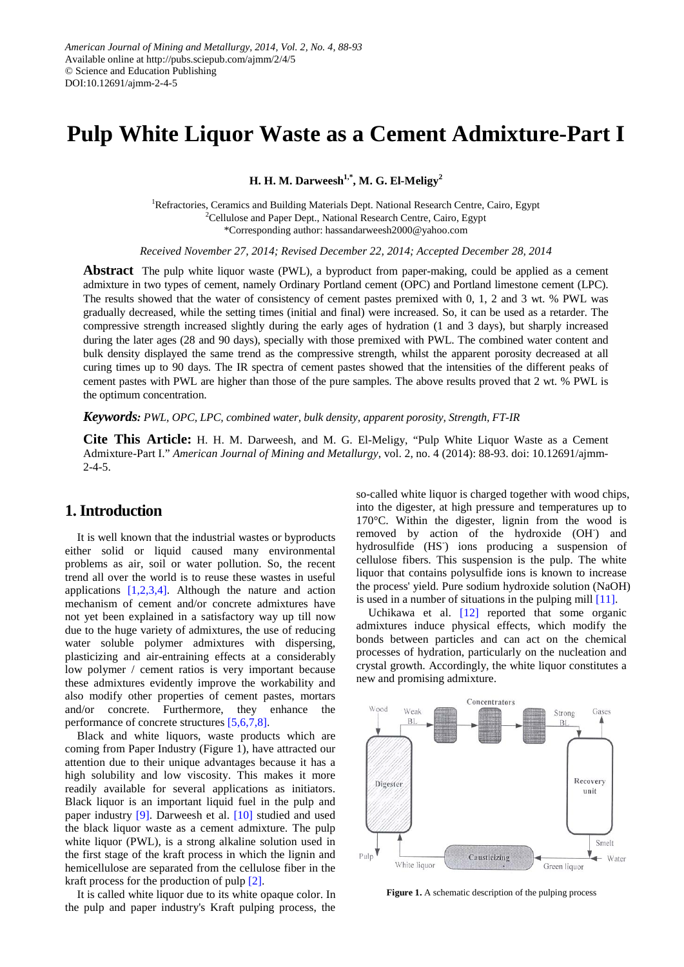# **Pulp White Liquor Waste as a Cement Admixture-Part I**

**H. H. M. Darweesh1,\*, M. G. El-Meligy<sup>2</sup>**

<sup>1</sup>Refractories, Ceramics and Building Materials Dept. National Research Centre, Cairo, Egypt <sup>2</sup>Cellulose and Paper Dept., National Research Centre, Cairo, Egypt \*Corresponding author: hassandarweesh2000@yahoo.com

*Received November 27, 2014; Revised December 22, 2014; Accepted December 28, 2014*

**Abstract** The pulp white liquor waste (PWL), a byproduct from paper-making, could be applied as a cement admixture in two types of cement, namely Ordinary Portland cement (OPC) and Portland limestone cement (LPC). The results showed that the water of consistency of cement pastes premixed with 0, 1, 2 and 3 wt. % PWL was gradually decreased, while the setting times (initial and final) were increased. So, it can be used as a retarder. The compressive strength increased slightly during the early ages of hydration (1 and 3 days), but sharply increased during the later ages (28 and 90 days), specially with those premixed with PWL. The combined water content and bulk density displayed the same trend as the compressive strength, whilst the apparent porosity decreased at all curing times up to 90 days. The IR spectra of cement pastes showed that the intensities of the different peaks of cement pastes with PWL are higher than those of the pure samples. The above results proved that 2 wt. % PWL is the optimum concentration.

*Keywords: PWL, OPC, LPC, combined water, bulk density, apparent porosity, Strength, FT-IR*

**Cite This Article:** H. H. M. Darweesh, and M. G. El-Meligy, "Pulp White Liquor Waste as a Cement Admixture-Part I." *American Journal of Mining and Metallurgy*, vol. 2, no. 4 (2014): 88-93. doi: 10.12691/ajmm-2-4-5.

# **1. Introduction**

It is well known that the industrial wastes or byproducts either solid or liquid caused many environmental problems as air, soil or water pollution. So, the recent trend all over the world is to reuse these wastes in useful applications [\[1,2,3,4\].](#page-4-0) Although the nature and action mechanism of cement and/or concrete admixtures have not yet been explained in a satisfactory way up till now due to the huge variety of admixtures, the use of reducing water soluble polymer admixtures with dispersing, plasticizing and air-entraining effects at a considerably low polymer / cement ratios is very important because these admixtures evidently improve the workability and also modify other properties of cement pastes, mortars and/or concrete. Furthermore, they enhance the performance of concrete structures [\[5,6,7,8\].](#page-4-1)

Black and white liquors, waste products which are coming from Paper Industry (Figure 1), have attracted our attention due to their unique advantages because it has a high solubility and low viscosity. This makes it more readily available for several applications as initiators. Black liquor is an important liquid fuel in the pulp and paper industry [\[9\].](#page-4-2) Darweesh et al. [\[10\]](#page-4-3) studied and used the black liquor waste as a cement admixture. The pulp white liquor (PWL), is a strong alkaline solution used in the first stage of the kraft process in which the lignin and hemicellulose are separated from the cellulose fiber in the kraft process for the production of pulp [\[2\].](#page-4-4)

It is called white liquor due to its white opaque color. In the pulp and paper industry's Kraft pulping process, the

so-called white liquor is charged together with wood chips, into the digester, at high pressure and temperatures up to 170°C. Within the digester, lignin from the wood is removed by action of the hydroxide (OH) and hydrosulfide (HS) ions producing a suspension of cellulose fibers. This suspension is the pulp. The white liquor that contains polysulfide ions is known to increase the process' yield. Pure sodium hydroxide solution (NaOH) is used in a number of situations in the pulping mill [\[11\].](#page-4-5)

Uchikawa et al.  $[12]$  reported that some organic admixtures induce physical effects, which modify the bonds between particles and can act on the chemical processes of hydration, particularly on the nucleation and crystal growth. Accordingly, the white liquor constitutes a new and promising admixture.



**Figure 1.** A schematic description of the pulping process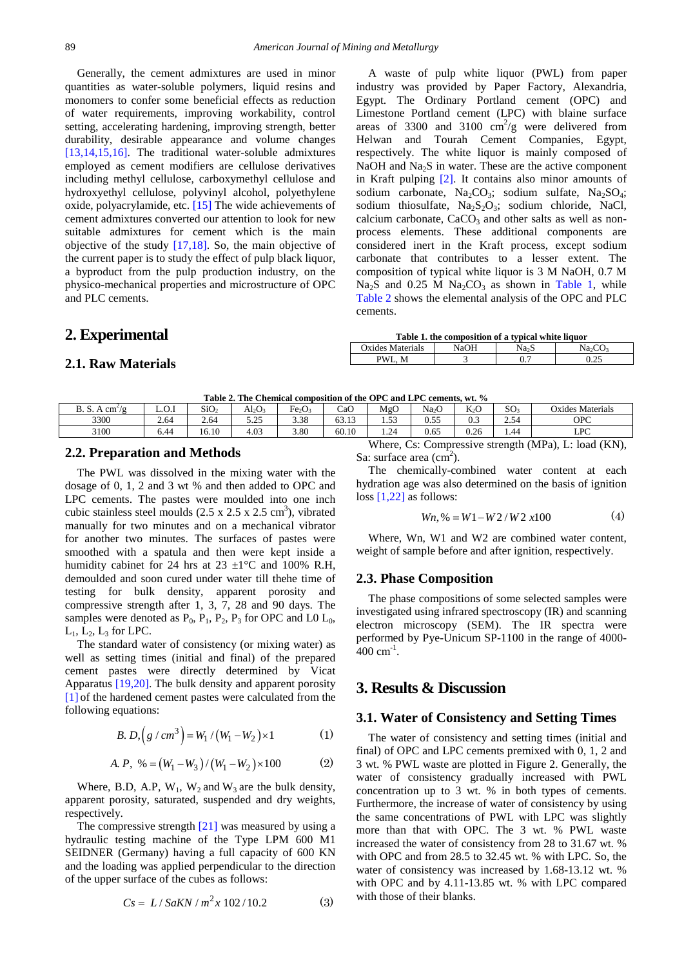Generally, the cement admixtures are used in minor quantities as water-soluble polymers, liquid resins and monomers to confer some beneficial effects as reduction of water requirements, improving workability, control setting, accelerating hardening, improving strength, better durability, desirable appearance and volume changes [\[13,14,15,16\].](#page-5-1) The traditional water-soluble admixtures employed as cement modifiers are cellulose derivatives including methyl cellulose, carboxymethyl cellulose and hydroxyethyl cellulose, polyvinyl alcohol, polyethylene oxide, polyacrylamide, etc. [\[15\]](#page-5-2) The wide achievements of cement admixtures converted our attention to look for new suitable admixtures for cement which is the main objective of the study [\[17,18\].](#page-5-3) So, the main objective of the current paper is to study the effect of pulp black liquor, a byproduct from the pulp production industry, on the physico-mechanical properties and microstructure of OPC and PLC cements.

# **2. Experimental**

#### **2.1. Raw Materials**

A waste of pulp white liquor (PWL) from paper industry was provided by Paper Factory, Alexandria, Egypt. The Ordinary Portland cement (OPC) and Limestone Portland cement (LPC) with blaine surface areas of 3300 and 3100  $\text{cm}^2/\text{g}$  were delivered from Helwan and Tourah Cement Companies, Egypt, respectively. The white liquor is mainly composed of NaOH and  $Na<sub>2</sub>S$  in water. These are the active component in Kraft pulping [\[2\].](#page-4-4) It contains also minor amounts of sodium carbonate,  $Na<sub>2</sub>CO<sub>3</sub>$ ; sodium sulfate,  $Na<sub>2</sub>SO<sub>4</sub>$ ; [sodium thiosulfate,](http://en.wikipedia.org/wiki/Sodium_thiosulfate)  $Na<sub>2</sub>S<sub>2</sub>O<sub>3</sub>$ ; sodium chloride, [NaCl,](http://en.wikipedia.org/wiki/Sodium_chloride) calcium carbonate,  $CaCO<sub>3</sub>$  and other salts as well as nonprocess elements. These additional components are considered inert in the Kraft process, except sodium carbonate that contributes to a lesser extent. The composition of typical white liquor is 3 M NaOH, 0.7 M  $Na<sub>2</sub>S$  and 0.25 M  $Na<sub>2</sub>CO<sub>3</sub>$  as shown in [Table 1,](#page-1-0) while [Table 2](#page-1-1) shows the elemental analysis of the OPC and PLC cements.

<span id="page-1-0"></span>

| Table 1. the composition of a typical white liquor |      |                   |                                 |  |  |  |  |  |  |  |
|----------------------------------------------------|------|-------------------|---------------------------------|--|--|--|--|--|--|--|
| Oxides Materials                                   | NaOH | Na <sub>2</sub> S | Na <sub>2</sub> CO <sub>3</sub> |  |  |  |  |  |  |  |
| PWL M                                              |      | 0.7               | 0.25                            |  |  |  |  |  |  |  |

**Table 2. The Chemical composition of the OPC and LPC cements, wt. %**

<span id="page-1-1"></span>

| Table 2. The Chemical composition of the OFC and LFC centents, wt. 70 $\,$               |       |                  |              |                                |       |            |                   |                  |                 |                  |
|------------------------------------------------------------------------------------------|-------|------------------|--------------|--------------------------------|-------|------------|-------------------|------------------|-----------------|------------------|
| B. S. A $cm^2/g$                                                                         | L.O.I | SiO <sub>2</sub> | Al2O3        | Fe <sub>2</sub> O <sub>3</sub> | CaO   | MgO        | Na <sub>2</sub> O | K <sub>2</sub> O | SO <sub>3</sub> | Oxides Materials |
| 3300                                                                                     | 2.64  | 2.64             | 5 つち<br>ل⊾ ک | 3.38                           | 63.13 | $\epsilon$ | 0.55              |                  | 2.54            | OPC              |
| 3100                                                                                     | 6.44  | 16.10            | 4.03         | 3.80                           | 60.10 | .24        | 0.65              | 0.26             | . 44            | LPC              |
| Where, Cs: Compressive strength (MPa), L: load (KN),<br>$\sim$ $\sim$ $\sim$<br>.<br>. . |       |                  |              |                                |       |            |                   |                  |                 |                  |

#### **2.2. Preparation and Methods**

The PWL was dissolved in the mixing water with the dosage of 0, 1, 2 and 3 wt % and then added to OPC and LPC cements. The pastes were moulded into one inch cubic stainless steel moulds  $(2.5 \times 2.5 \times 2.5 \text{ cm}^3)$ , vibrated manually for two minutes and on a mechanical vibrator for another two minutes. The surfaces of pastes were smoothed with a spatula and then were kept inside a humidity cabinet for 24 hrs at 23  $\pm$ 1°C and 100% R.H, demoulded and soon cured under water till thehe time of testing for bulk density, apparent porosity and compressive strength after 1, 3, 7, 28 and 90 days. The samples were denoted as  $P_0$ ,  $P_1$ ,  $P_2$ ,  $P_3$  for OPC and L0  $L_0$ ,  $L_1$ ,  $L_2$ ,  $L_3$  for LPC.

The standard water of consistency (or mixing water) as well as setting times (initial and final) of the prepared cement pastes were directly determined by Vicat Apparatus [\[19,20\].](#page-5-4) The bulk density and apparent porosity [\[1\]](#page-4-0) of the hardened cement pastes were calculated from the following equations:

$$
B. D, (g / cm3) = W1 / (W1 - W2) \times 1
$$
 (1)

A. P, % = 
$$
(W_1 - W_3) / (W_1 - W_2) \times 100
$$
 (2)

Where, B.D, A.P,  $W_1$ ,  $W_2$  and  $W_3$  are the bulk density, apparent porosity, saturated, suspended and dry weights, respectively.

The compressive strengt[h \[21\]](#page-5-5) was measured by using a hydraulic testing machine of the Type LPM 600 M1 SEIDNER (Germany) having a full capacity of 600 KN and the loading was applied perpendicular to the direction of the upper surface of the cubes as follows:

$$
Cs = L / SaKN / m^2 x 102 / 10.2 \tag{3}
$$

Sa: surface area  $\overline{(cm^2)}$ .

The chemically-combined water content at each hydration age was also determined on the basis of ignition loss [\[1,22\]](#page-4-0) as follows:

$$
Wn, \% = W1 - W2 / W2 \times 100 \tag{4}
$$

Where, Wn, W1 and W2 are combined water content, weight of sample before and after ignition, respectively.

#### **2.3. Phase Composition**

The phase compositions of some selected samples were investigated using infrared spectroscopy (IR) and scanning electron microscopy (SEM). The IR spectra were performed by Pye-Unicum SP-1100 in the range of 4000-  $400 \text{ cm}^{-1}$ .

# **3. Results & Discussion**

#### **3.1. Water of Consistency and Setting Times**

The water of consistency and setting times (initial and final) of OPC and LPC cements premixed with 0, 1, 2 and 3 wt. % PWL waste are plotted in Figure 2. Generally, the water of consistency gradually increased with PWL concentration up to 3 wt. % in both types of cements. Furthermore, the increase of water of consistency by using the same concentrations of PWL with LPC was slightly more than that with OPC. The 3 wt. % PWL waste increased the water of consistency from 28 to 31.67 wt. % with OPC and from 28.5 to 32.45 wt. % with LPC. So, the water of consistency was increased by 1.68-13.12 wt. % with OPC and by 4.11-13.85 wt. % with LPC compared with those of their blanks.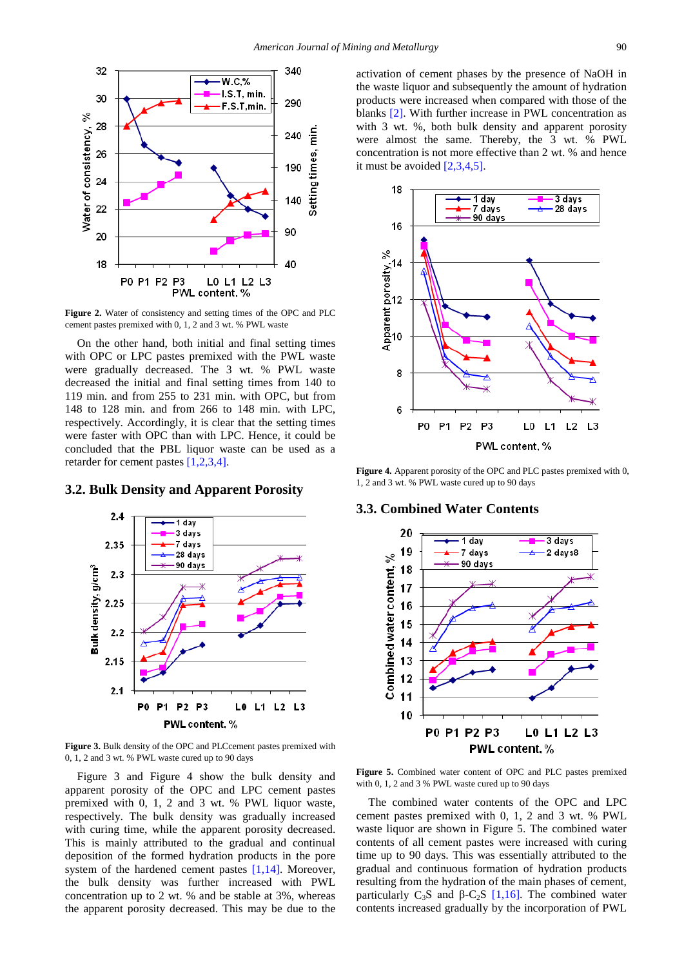

**Figure 2.** Water of consistency and setting times of the OPC and PLC cement pastes premixed with 0, 1, 2 and 3 wt. % PWL waste

On the other hand, both initial and final setting times with OPC or LPC pastes premixed with the PWL waste were gradually decreased. The 3 wt. % PWL waste decreased the initial and final setting times from 140 to 119 min. and from 255 to 231 min. with OPC, but from 148 to 128 min. and from 266 to 148 min. with LPC, respectively. Accordingly, it is clear that the setting times were faster with OPC than with LPC. Hence, it could be concluded that the PBL liquor waste can be used as a retarder for cement pastes [\[1,2,3,4\].](#page-4-0)

#### **3.2. Bulk Density and Apparent Porosity**



**Figure 3.** Bulk density of the OPC and PLCcement pastes premixed with 0, 1, 2 and 3 wt. % PWL waste cured up to 90 days

Figure 3 and Figure 4 show the bulk density and apparent porosity of the OPC and LPC cement pastes premixed with 0, 1, 2 and 3 wt. % PWL liquor waste, respectively. The bulk density was gradually increased with curing time, while the apparent porosity decreased. This is mainly attributed to the gradual and continual deposition of the formed hydration products in the pore system of the hardened cement pastes [\[1,14\].](#page-4-0) Moreover, the bulk density was further increased with PWL concentration up to 2 wt. % and be stable at 3%, whereas the apparent porosity decreased. This may be due to the

activation of cement phases by the presence of NaOH in the waste liquor and subsequently the amount of hydration products were increased when compared with those of the blanks [\[2\].](#page-4-4) With further increase in PWL concentration as with 3 wt. %, both bulk density and apparent porosity were almost the same. Thereby, the 3 wt. % PWL concentration is not more effective than 2 wt. % and hence it must be avoided  $[2,3,4,5]$ .



**Figure 4.** Apparent porosity of the OPC and PLC pastes premixed with 0, 1, 2 and 3 wt. % PWL waste cured up to 90 days

#### **3.3. Combined Water Contents**



**Figure 5.** Combined water content of OPC and PLC pastes premixed with 0, 1, 2 and 3 % PWL waste cured up to 90 days

The combined water contents of the OPC and LPC cement pastes premixed with 0, 1, 2 and 3 wt. % PWL waste liquor are shown in Figure 5. The combined water contents of all cement pastes were increased with curing time up to 90 days. This was essentially attributed to the gradual and continuous formation of hydration products resulting from the hydration of the main phases of cement, particularly C<sub>3</sub>S and β-C<sub>2</sub>S [\[1,16\].](#page-4-0) The combined water contents increased gradually by the incorporation of PWL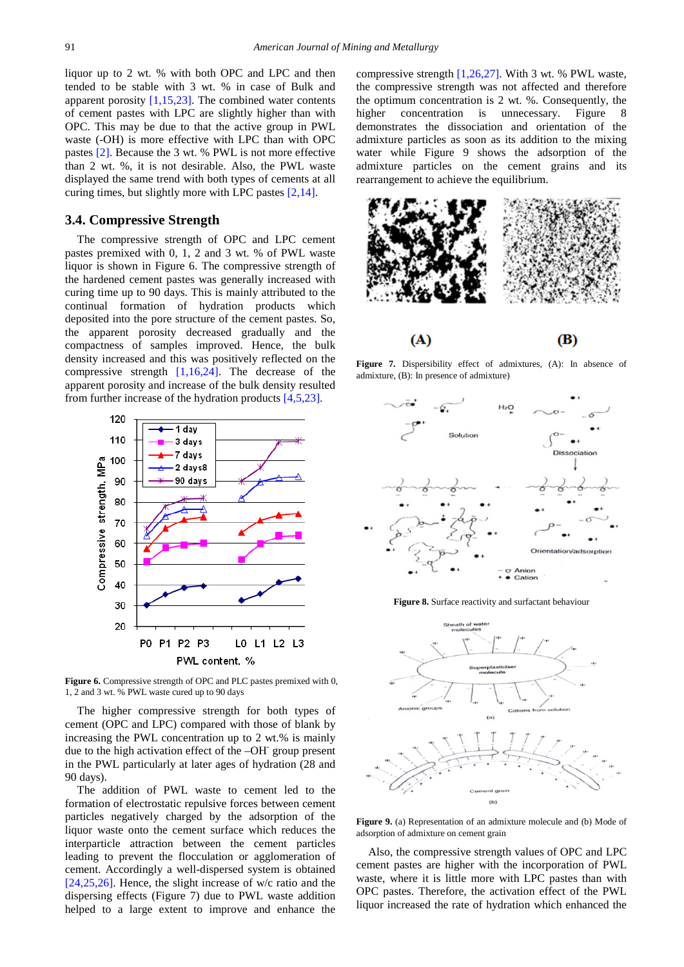liquor up to 2 wt. % with both OPC and LPC and then tended to be stable with 3 wt. % in case of Bulk and apparent porosity  $[1,15,23]$ . The combined water contents of cement pastes with LPC are slightly higher than with OPC. This may be due to that the active group in PWL waste (-OH) is more effective with LPC than with OPC pastes [\[2\].](#page-4-4) Because the 3 wt. % PWL is not more effective than 2 wt. %, it is not desirable. Also, the PWL waste displayed the same trend with both types of cements at all curing times, but slightly more with LPC pastes [\[2,14\].](#page-4-4)

#### **3.4. Compressive Strength**

The compressive strength of OPC and LPC cement pastes premixed with 0, 1, 2 and 3 wt. % of PWL waste liquor is shown in Figure 6. The compressive strength of the hardened cement pastes was generally increased with curing time up to 90 days. This is mainly attributed to the continual formation of hydration products which deposited into the pore structure of the cement pastes. So, the apparent porosity decreased gradually and the compactness of samples improved. Hence, the bulk density increased and this was positively reflected on the compressive strength  $[1,16,24]$ . The decrease of the apparent porosity and increase of the bulk density resulted from further increase of the hydration products [\[4,5,23\].](#page-4-6)



**Figure 6.** Compressive strength of OPC and PLC pastes premixed with 0. 1, 2 and 3 wt. % PWL waste cured up to 90 days

The higher compressive strength for both types of cement (OPC and LPC) compared with those of blank by increasing the PWL concentration up to 2 wt.% is mainly due to the high activation effect of the  $-OH^-$  group present in the PWL particularly at later ages of hydration (28 and 90 days).

The addition of PWL waste to cement led to the formation of electrostatic repulsive forces between cement particles negatively charged by the adsorption of the liquor waste onto the cement surface which reduces the interparticle attraction between the cement particles leading to prevent the flocculation or agglomeration of cement. Accordingly a well-dispersed system is obtained [\[24,25,26\].](#page-5-6) Hence, the slight increase of w/c ratio and the dispersing effects (Figure 7) due to PWL waste addition helped to a large extent to improve and enhance the

compressive strength [\[1,26,27\].](#page-4-0) With 3 wt. % PWL waste, the compressive strength was not affected and therefore the optimum concentration is 2 wt. %. Consequently, the higher concentration is unnecessary. Figure 8 demonstrates the dissociation and orientation of the admixture particles as soon as its addition to the mixing water while Figure 9 shows the adsorption of the admixture particles on the cement grains and its rearrangement to achieve the equilibrium.



**Figure 7.** Dispersibility effect of admixtures, (A): In absence of admixture, (B): In presence of admixture)



**Figure 8.** Surface reactivity and surfactant behaviour



**Figure 9.** (a) Representation of an admixture molecule and (b) Mode of adsorption of admixture on cement grain

Also, the compressive strength values of OPC and LPC cement pastes are higher with the incorporation of PWL waste, where it is little more with LPC pastes than with OPC pastes. Therefore, the activation effect of the PWL liquor increased the rate of hydration which enhanced the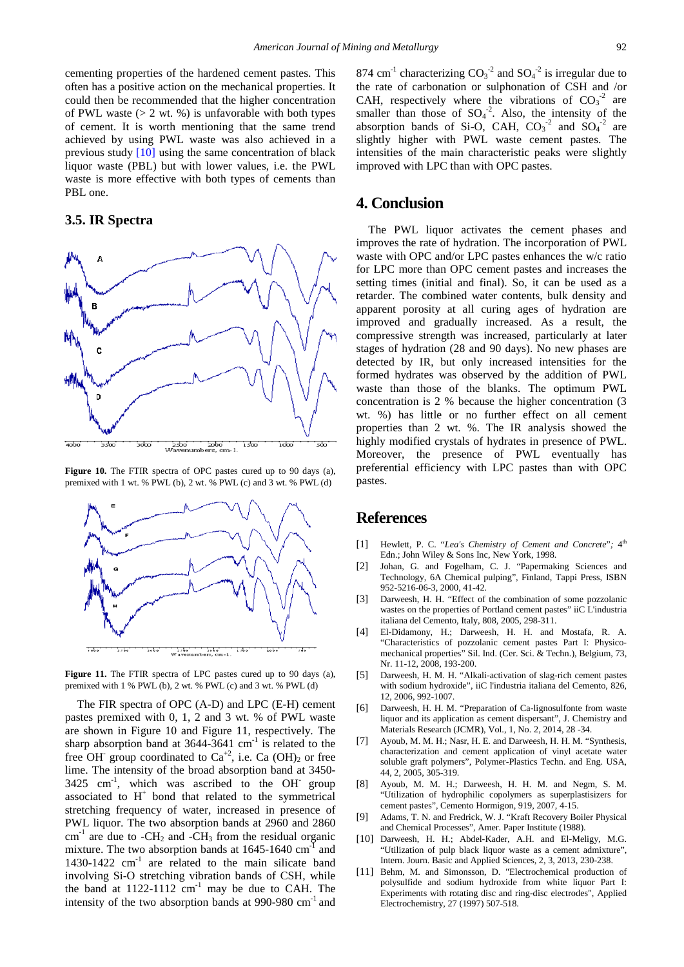cementing properties of the hardened cement pastes. This often has a positive action on the mechanical properties. It could then be recommended that the higher concentration of PWL waste  $(> 2 \text{ wt. } % )$  is unfavorable with both types of cement. It is worth mentioning that the same trend achieved by using PWL waste was also achieved in a previous study [\[10\]](#page-4-3) using the same concentration of black liquor waste (PBL) but with lower values, i.e. the PWL waste is more effective with both types of cements than PBL one.

## **3.5. IR Spectra**



**Figure 10.** The FTIR spectra of OPC pastes cured up to 90 days (a), premixed with 1 wt. % PWL (b), 2 wt. % PWL (c) and 3 wt. % PWL (d)



**Figure 11.** The FTIR spectra of LPC pastes cured up to 90 days (a), premixed with 1 % PWL (b), 2 wt. % PWL (c) and 3 wt. % PWL (d)

The FIR spectra of OPC (A-D) and LPC (E-H) cement pastes premixed with 0, 1, 2 and 3 wt. % of PWL waste are shown in Figure 10 and Figure 11, respectively. The sharp absorption band at  $3644-3641$  cm<sup>-1</sup> is related to the free OH<sup>-</sup> group coordinated to  $Ca^{+2}$ , i.e. Ca (OH)<sub>2</sub> or free lime. The intensity of the broad absorption band at 3450-  $3425$  cm<sup>-1</sup>, which was ascribed to the OH group associated to  $H^+$  bond that related to the symmetrical stretching frequency of water, increased in presence of PWL liquor. The two absorption bands at 2960 and 2860  $cm<sup>-1</sup>$  are due to -CH<sub>2</sub> and -CH<sub>3</sub> from the residual organic mixture. The two absorption bands at  $1645-1640$  cm<sup>-1</sup> and 1430-1422  $cm^{-1}$  are related to the main silicate band involving Si-O stretching vibration bands of CSH, while the band at  $1122-1112$  cm<sup>-1</sup> may be due to CAH. The intensity of the two absorption bands at  $990-980$  cm<sup>-1</sup> and

874 cm<sup>-1</sup> characterizing  $CO_3^{-2}$  and  $SO_4^{-2}$  is irregular due to the rate of carbonation or sulphonation of CSH and /or CAH, respectively where the vibrations of  $CO<sub>3</sub><sup>-2</sup>$  are smaller than those of  $SO_4^2$ . Also, the intensity of the absorption bands of Si-O, CAH,  $CO_3^2$  and  $SO_4^2$  are slightly higher with PWL waste cement pastes. The intensities of the main characteristic peaks were slightly improved with LPC than with OPC pastes.

## **4. Conclusion**

The PWL liquor activates the cement phases and improves the rate of hydration. The incorporation of PWL waste with OPC and/or LPC pastes enhances the w/c ratio for LPC more than OPC cement pastes and increases the setting times (initial and final). So, it can be used as a retarder. The combined water contents, bulk density and apparent porosity at all curing ages of hydration are improved and gradually increased. As a result, the compressive strength was increased, particularly at later stages of hydration (28 and 90 days). No new phases are detected by IR, but only increased intensities for the formed hydrates was observed by the addition of PWL waste than those of the blanks. The optimum PWL concentration is 2 % because the higher concentration (3 wt. %) has little or no further effect on all cement properties than 2 wt. %. The IR analysis showed the highly modified crystals of hydrates in presence of PWL. Moreover, the presence of PWL eventually has preferential efficiency with LPC pastes than with OPC pastes.

# **References**

- <span id="page-4-0"></span>[1] Hewlett, P. C. "Lea's Chemistry of Cement and Concrete"; 4<sup>th</sup> Edn.; John Wiley & Sons Inc, New York, 1998.
- <span id="page-4-4"></span>[2] Johan, G. and Fogelham, C. J. "Papermaking Sciences and Technology, 6A Chemical pulping", Finland, Tappi Press, ISBN 952-5216-06-3, 2000, 41-42.
- [3] Darweesh, H. H. "Effect of the combination of some pozzolanic wastes on the properties of Portland cement pastes" iiC L'industria italiana del Cemento, Italy, 808, 2005, 298-311.
- <span id="page-4-6"></span>[4] El-Didamony, H.; Darweesh, H. H. and Mostafa, R. A. "Characteristics of pozzolanic cement pastes Part I: Physicomechanical properties" Sil. Ind. (Cer. Sci. & Techn.), Belgium, 73, Nr. 11-12, 2008, 193-200.
- <span id="page-4-1"></span>[5] Darweesh, H. M. H. "Alkali-activation of slag-rich cement pastes with sodium hydroxide", iiC l'industria italiana del Cemento, 826, 12, 2006, 992-1007.
- [6] Darweesh, H. H. M. "Preparation of Ca-lignosulfonte from waste liquor and its application as cement dispersant", J. Chemistry and Materials Research (JCMR), Vol., 1, No. 2, 2014, 28 -34.
- [7] Ayoub, M. M. H.; Nasr, H. E. and Darweesh, H. H. M. "Synthesis, characterization and cement application of vinyl acetate water soluble graft polymers", Polymer-Plastics Techn. and Eng. USA, 44, 2, 2005, 305-319.
- [8] Ayoub, M. M. H.; Darweesh, H. H. M. and Negm, S. M. "Utilization of hydrophilic copolymers as superplastisizers for cement pastes", Cemento Hormigon, 919, 2007, 4-15.
- <span id="page-4-2"></span>[9] Adams, T. N. and Fredrick, W. J. "Kraft Recovery Boiler Physical and Chemical Processes", Amer. Paper Institute (1988).
- <span id="page-4-3"></span>[10] Darweesh, H. H.; Abdel-Kader, A.H. and El-Meligy, M.G. "Utilization of pulp black liquor waste as a cement admixture", Intern. Journ. Basic and Applied Sciences, 2, 3, 2013, 230-238.
- <span id="page-4-5"></span>[11] Behm, M. and Simonsson, D. "Electrochemical production of polysulfide and sodium hydroxide from white liquor Part I: Experiments with rotating disc and ring-disc electrodes", Applied Electrochemistry, 27 (1997) 507-518.